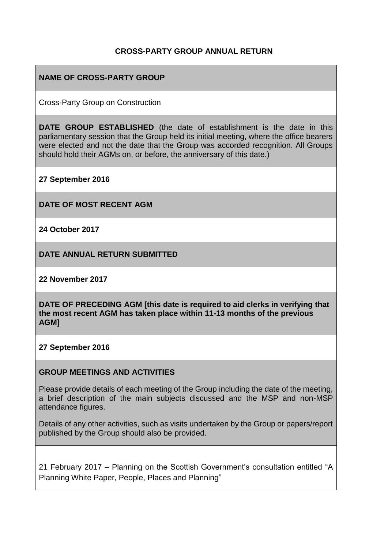## **CROSS-PARTY GROUP ANNUAL RETURN**

#### **NAME OF CROSS-PARTY GROUP**

Cross-Party Group on Construction

**DATE GROUP ESTABLISHED** (the date of establishment is the date in this parliamentary session that the Group held its initial meeting, where the office bearers were elected and not the date that the Group was accorded recognition. All Groups should hold their AGMs on, or before, the anniversary of this date.)

**27 September 2016**

**DATE OF MOST RECENT AGM**

**24 October 2017**

**DATE ANNUAL RETURN SUBMITTED**

**22 November 2017**

**DATE OF PRECEDING AGM [this date is required to aid clerks in verifying that the most recent AGM has taken place within 11-13 months of the previous AGM]**

**27 September 2016**

#### **GROUP MEETINGS AND ACTIVITIES**

Please provide details of each meeting of the Group including the date of the meeting, a brief description of the main subjects discussed and the MSP and non-MSP attendance figures.

Details of any other activities, such as visits undertaken by the Group or papers/report published by the Group should also be provided.

21 February 2017 – Planning on the Scottish Government's consultation entitled "A Planning White Paper, People, Places and Planning"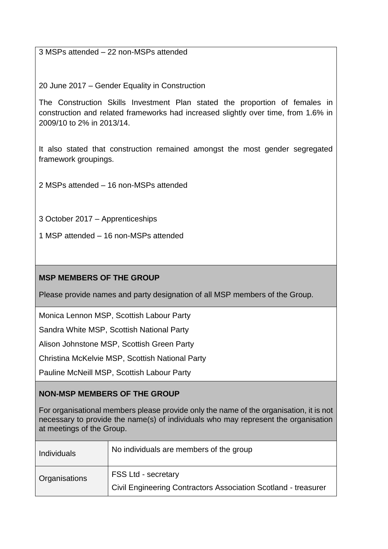3 MSPs attended – 22 non-MSPs attended

20 June 2017 – Gender Equality in Construction

The Construction Skills Investment Plan stated the proportion of females in construction and related frameworks had increased slightly over time, from 1.6% in 2009/10 to 2% in 2013/14.

It also stated that construction remained amongst the most gender segregated framework groupings.

2 MSPs attended – 16 non-MSPs attended

3 October 2017 – Apprenticeships

1 MSP attended – 16 non-MSPs attended

# **MSP MEMBERS OF THE GROUP**

Please provide names and party designation of all MSP members of the Group.

Monica Lennon MSP, Scottish Labour Party

Sandra White MSP, Scottish National Party

Alison Johnstone MSP, Scottish Green Party

Christina McKelvie MSP, Scottish National Party

Pauline McNeill MSP, Scottish Labour Party

## **NON-MSP MEMBERS OF THE GROUP**

For organisational members please provide only the name of the organisation, it is not necessary to provide the name(s) of individuals who may represent the organisation at meetings of the Group.

| <b>Individuals</b> | No individuals are members of the group                                                      |  |
|--------------------|----------------------------------------------------------------------------------------------|--|
| Organisations      | <b>FSS Ltd - secretary</b><br>Civil Engineering Contractors Association Scotland - treasurer |  |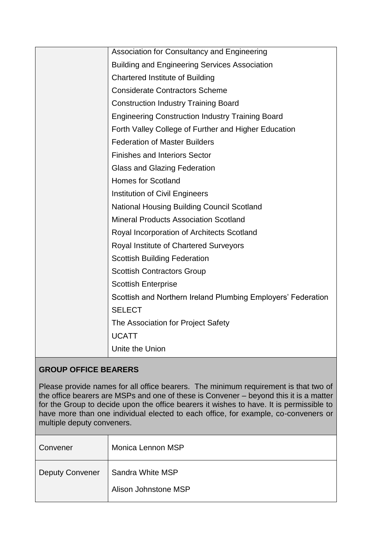| Association for Consultancy and Engineering                  |
|--------------------------------------------------------------|
| <b>Building and Engineering Services Association</b>         |
| <b>Chartered Institute of Building</b>                       |
| <b>Considerate Contractors Scheme</b>                        |
| <b>Construction Industry Training Board</b>                  |
| <b>Engineering Construction Industry Training Board</b>      |
| Forth Valley College of Further and Higher Education         |
| <b>Federation of Master Builders</b>                         |
| <b>Finishes and Interiors Sector</b>                         |
| <b>Glass and Glazing Federation</b>                          |
| <b>Homes for Scotland</b>                                    |
| <b>Institution of Civil Engineers</b>                        |
| <b>National Housing Building Council Scotland</b>            |
| <b>Mineral Products Association Scotland</b>                 |
| Royal Incorporation of Architects Scotland                   |
| Royal Institute of Chartered Surveyors                       |
| <b>Scottish Building Federation</b>                          |
| <b>Scottish Contractors Group</b>                            |
| <b>Scottish Enterprise</b>                                   |
| Scottish and Northern Ireland Plumbing Employers' Federation |
| <b>SELECT</b>                                                |
| The Association for Project Safety                           |
| <b>UCATT</b>                                                 |
| Unite the Union                                              |

# **GROUP OFFICE BEARERS**

Please provide names for all office bearers. The minimum requirement is that two of the office bearers are MSPs and one of these is Convener – beyond this it is a matter for the Group to decide upon the office bearers it wishes to have. It is permissible to have more than one individual elected to each office, for example, co-conveners or multiple deputy conveners.

| Convener               | Monica Lennon MSP                        |
|------------------------|------------------------------------------|
| <b>Deputy Convener</b> | Sandra White MSP<br>Alison Johnstone MSP |